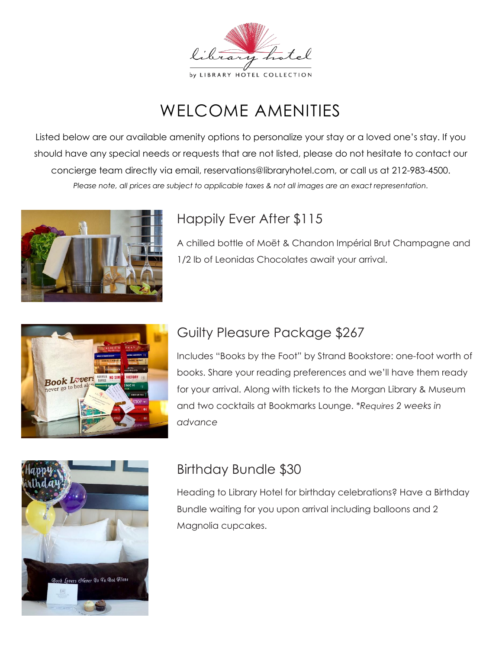

# WELCOME AMENITIES

Listed below are our available amenity options to personalize your stay or a loved one's stay. If you should have any special needs or requests that are not listed, please do not hesitate to contact our concierge team directly via email, reservations@libraryhotel.com, or call us at 212-983-4500. *Please note, all prices are subject to applicable taxes & not all images are an exact representation.*



# Happily Ever After \$115

A chilled bottle of Moët & Chandon Impérial Brut Champagne and 1/2 lb of Leonidas Chocolates await your arrival.



### Guilty Pleasure Package \$267

Includes "Books by the Foot" by Strand Bookstore: one-foot worth of books. Share your reading preferences and we'll have them ready for your arrival. Along with tickets to the Morgan Library & Museum and two cocktails at Bookmarks Lounge. \**Requires 2 weeks in advance*



# Birthday Bundle \$30

Heading to Library Hotel for birthday celebrations? Have a Birthday Bundle waiting for you upon arrival including balloons and 2 Magnolia cupcakes.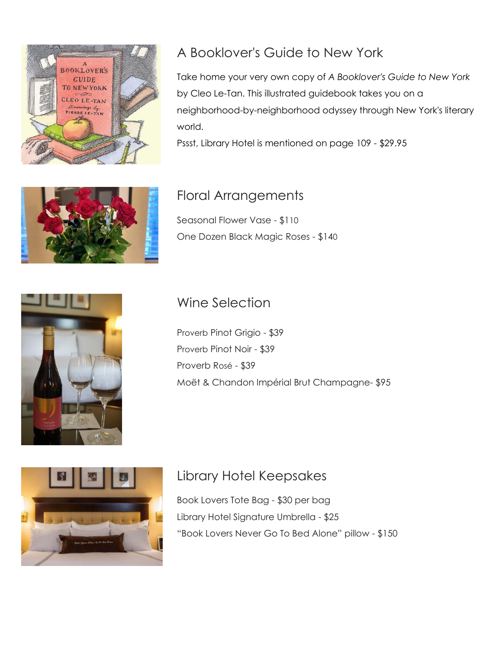

#### A Booklover's Guide to New York

Take home your very own copy of *A Booklover's Guide to New York* by Cleo Le-Tan. This illustrated guidebook takes you on a neighborhood-by-neighborhood odyssey through New York's literary world.

Pssst, Library Hotel is mentioned on page 109 - \$29.95



#### Floral Arrangements

Seasonal Flower Vase - \$110 One Dozen Black Magic Roses - \$140

## Wine Selection

Proverb Pinot Grigio - \$39 Proverb Pinot Noir - \$39 Proverb Rosé - \$39 Moët & Chandon Impérial Brut Champagne- \$95





### Library Hotel Keepsakes

Book Lovers Tote Bag - \$30 per bag Library Hotel Signature Umbrella - \$25 "Book Lovers Never Go To Bed Alone" pillow - \$150